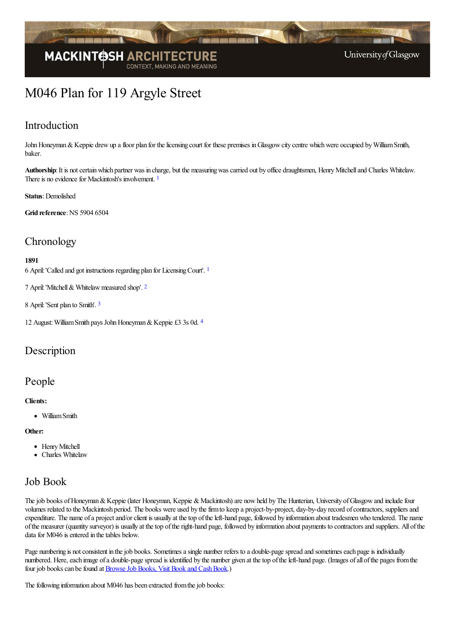

# M046 Plan for 119 Argyle Street

### Introduction

John Honeyman & Keppie drew up a floor plan for the licensing court for these premises in Glasgow city centre which were occupied by William Smith, baker.

<span id="page-0-0"></span>Authorship: It is not certain which partner was in charge, but the measuring was carried out by office draughtsmen, Henry Mitchell and Charles Whitelaw. There is no evidence for Mackintosh's involvement. <sup>[1](#page-1-0)</sup>

#### **Status**:Demolished

**Grid reference:** NS 5904 6504

### **Chronology**

#### <span id="page-0-1"></span>**1891**

6 April:'Called and got instructions regarding plan for LicensingCourt'. [1](#page-1-1)

<span id="page-0-2"></span>7 April:'Mitchell& Whitelawmeasured shop'. [2](#page-1-2)

<span id="page-0-3"></span>8 April:'Sent plan to Smith'. [3](#page-1-3)

<span id="page-0-4"></span>12 August: William Smith pays John Honeyman & Keppie £3 3s 0d. [4](#page-1-4)

### Description

### People

#### **Clients:**

• William Smith

#### **Other:**

- Henry Mitchell
- Charles Whitelaw

### Job Book

The job books of Honeyman & Keppie (later Honeyman, Keppie & Mackintosh) are now held by The Hunterian, University of Glasgow and include four volumes related to the Mackintosh period. The books were used by thefirmto keep a project-by-project, day-by-day record ofcontractors, suppliersand expenditure. The name of a project and/or client is usually at the top of the left-hand page, followed by information about tradesmen who tendered. The name ofthe measurer (quantity surveyor) is usually at thetop oftheright-hand page, followed by information about payments to contractorsand suppliers. All ofthe data for M046 is entered in the tables below.

Page numbering is not consistent in the job books. Sometimes a single number refers to a double-page spread and sometimes each page is individually numbered. Here, each image of a double-page spread is identified by the number given at the top of the left-hand page. (Images of all of the pages from the four job books can be found at Browse Job Books, Visit Book and Cash Book.)

The following information about M046 has been extracted from the job books: